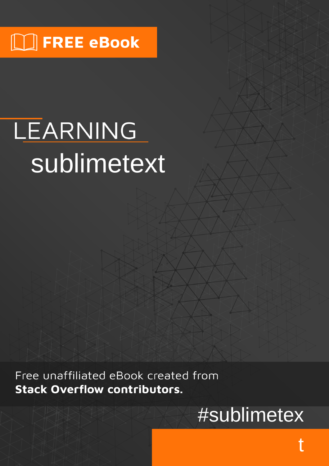## $\lfloor \rfloor$  FREE eBook

# LEARNING sublimetext

Free unaffiliated eBook created from **Stack Overflow contributors.** 

## #sublimetex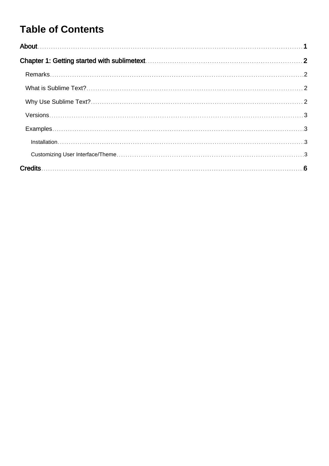## **Table of Contents**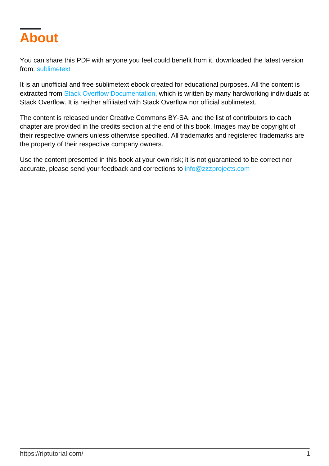<span id="page-2-0"></span>

You can share this PDF with anyone you feel could benefit from it, downloaded the latest version from: [sublimetext](http://riptutorial.com/ebook/sublimetext)

It is an unofficial and free sublimetext ebook created for educational purposes. All the content is extracted from [Stack Overflow Documentation,](https://archive.org/details/documentation-dump.7z) which is written by many hardworking individuals at Stack Overflow. It is neither affiliated with Stack Overflow nor official sublimetext.

The content is released under Creative Commons BY-SA, and the list of contributors to each chapter are provided in the credits section at the end of this book. Images may be copyright of their respective owners unless otherwise specified. All trademarks and registered trademarks are the property of their respective company owners.

Use the content presented in this book at your own risk; it is not guaranteed to be correct nor accurate, please send your feedback and corrections to [info@zzzprojects.com](mailto:info@zzzprojects.com)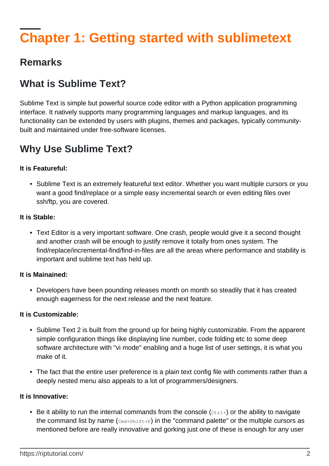## <span id="page-3-0"></span>**Chapter 1: Getting started with sublimetext**

### <span id="page-3-1"></span>**Remarks**

### <span id="page-3-2"></span>**What is Sublime Text?**

Sublime Text is simple but powerful source code editor with a Python application programming interface. It natively supports many programming languages and markup languages, and its functionality can be extended by users with plugins, themes and packages, typically communitybuilt and maintained under free-software licenses.

## <span id="page-3-3"></span>**Why Use Sublime Text?**

#### **It is Featureful:**

• Sublime Text is an extremely featureful text editor. Whether you want multiple cursors or you want a good find/replace or a simple easy incremental search or even editing files over ssh/ftp, you are covered.

#### **It is Stable:**

Text Editor is a very important software. One crash, people would give it a second thought • and another crash will be enough to justify remove it totally from ones system. The find/replace/incremental-find/find-in-files are all the areas where performance and stability is important and sublime text has held up.

#### **It is Mainained:**

• Developers have been pounding releases month on month so steadily that it has created enough eagerness for the next release and the next feature.

#### **It is Customizable:**

- Sublime Text 2 is built from the ground up for being highly customizable. From the apparent simple configuration things like displaying line number, code folding etc to some deep software architecture with "vi mode" enabling and a huge list of user settings, it is what you make of it.
- The fact that the entire user preference is a plain text config file with comments rather than a deeply nested menu also appeals to a lot of programmers/designers.

#### **It is Innovative:**

• Be it ability to run the internal commands from the console ( $\text{ctr}$ +) or the ability to navigate the command list by name  $(\text{cmd+Shift+P})$  in the "command palette" or the multiple cursors as mentioned before are really innovative and gorking just one of these is enough for any user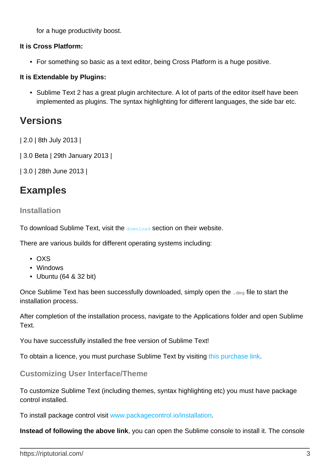for a huge productivity boost.

#### **It is Cross Platform:**

• For something so basic as a text editor, being Cross Platform is a huge positive.

#### **It is Extendable by Plugins:**

• Sublime Text 2 has a great plugin architecture. A lot of parts of the editor itself have been implemented as plugins. The syntax highlighting for different languages, the side bar etc.

## <span id="page-4-0"></span>**Versions**

| 2.0 | 8th July 2013 |

| 3.0 Beta | 29th January 2013 |

| 3.0 | 28th June 2013 |

## <span id="page-4-1"></span>**Examples**

#### <span id="page-4-2"></span>**Installation**

To download Sublime Text, visit the [download](https://www.sublimetext.com/3) section on their website.

There are various builds for different operating systems including:

- OXS
- Windows
- Ubuntu (64 & 32 bit)

Once Sublime Text has been successfully downloaded, simply open the . dmg file to start the installation process.

After completion of the installation process, navigate to the Applications folder and open Sublime Text.

You have successfully installed the free version of Sublime Text!

<span id="page-4-3"></span>To obtain a licence, you must purchase Sublime Text by visiting [this purchase link](https://www.sublimetext.com/buy).

#### **Customizing User Interface/Theme**

To customize Sublime Text (including themes, syntax highlighting etc) you must have package control installed.

To install package control visit [www.packagecontrol.io/installation.](https://packagecontrol.io/installation)

**Instead of following the above link**, you can open the Sublime console to install it. The console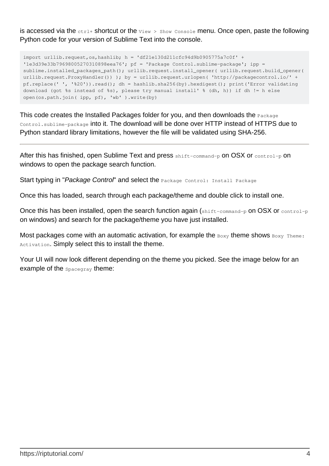is accessed via the  $_{\text{ctrl}}$  shortcut or the  $_{\text{view}}$  >  $_{\text{Show}}$  console menu. Once open, paste the following Python code for your version of Sublime Text into the console.

```
import urllib.request,os,hashlib; h = 'df21e130d211cfc94d9b0905775a7c0f' +
'1e3d39e33b79698005270310898eea76'; pf = 'Package Control.sublime-package'; ipp =sublime.installed_packages_path(); urllib.request.install_opener( urllib.request.build_opener(
urllib.request.ProxyHandler()) ); by = urllib.request.urlopen( 'http://packagecontrol.io/' +
pf.replace(' ', '%20')).read(); dh = hashlib.sha256(by).hexdigest(); print('Error validating
download (got %s instead of %s), please try manual install' % (dh, h)) if dh != h else
open(os.path.join( ipp, pf), 'wb' ).write(by)
```
This code creates the Installed Packages folder for you, and then downloads the Package Control.sublime-package into it. The download will be done over HTTP instead of HTTPS due to Python standard library limitations, however the file will be validated using SHA-256.

After this has finished, open Sublime Text and press shift-command-p on OSX or control-p on windows to open the package search function.

Start typing in "Package Control" and select the Package Control: Install Package

Once this has loaded, search through each package/theme and double click to install one.

Once this has been installed, open the search function again  $(s_{\text{hit}-\text{command-p}}$  on OSX or  $\text{control-p}}$ on windows) and search for the package/theme you have just installed.

Most packages come with an automatic activation, for example the  $_{\text{Box}y}$  theme shows  $_{\text{Box}y}$  Theme: Activation. Simply select this to install the theme.

Your UI will now look different depending on the theme you picked. See the image below for an example of the  $space_{\text{space}}$  theme: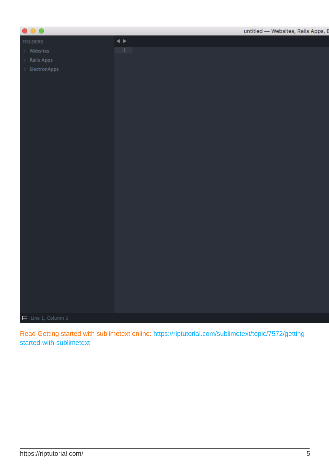

Read Getting started with sublimetext online: [https://riptutorial.com/sublimetext/topic/7572/getting](https://riptutorial.com/sublimetext/topic/7572/getting-started-with-sublimetext)[started-with-sublimetext](https://riptutorial.com/sublimetext/topic/7572/getting-started-with-sublimetext)